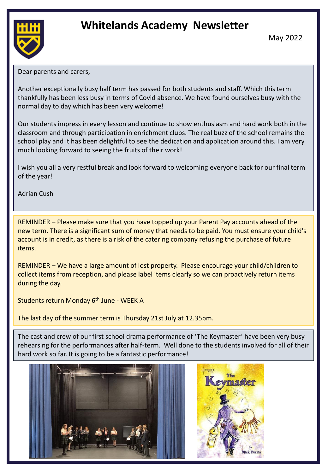# **Whitelands Academy Newsletter**



May 2022

Dear parents and carers,

Another exceptionally busy half term has passed for both students and staff. Which this term thankfully has been less busy in terms of Covid absence. We have found ourselves busy with the normal day to day which has been very welcome!

Our students impress in every lesson and continue to show enthusiasm and hard work both in the classroom and through participation in enrichment clubs. The real buzz of the school remains the school play and it has been delightful to see the dedication and application around this. I am very much looking forward to seeing the fruits of their work!

I wish you all a very restful break and look forward to welcoming everyone back for our final term of the year!

Adrian Cush

REMINDER – Please make sure that you have topped up your Parent Pay accounts ahead of the new term. There is a significant sum of money that needs to be paid. You must ensure your child's account is in credit, as there is a risk of the catering company refusing the purchase of future items.

REMINDER – We have a large amount of lost property. Please encourage your child/children to collect items from reception, and please label items clearly so we can proactively return items during the day.

Students return Monday 6<sup>th</sup> June - WEEK A

The last day of the summer term is Thursday 21st July at 12.35pm.

The cast and crew of our first school drama performance of 'The Keymaster' have been very busy rehearsing for the performances after half-term. Well done to the students involved for all of their hard work so far. It is going to be a fantastic performance!



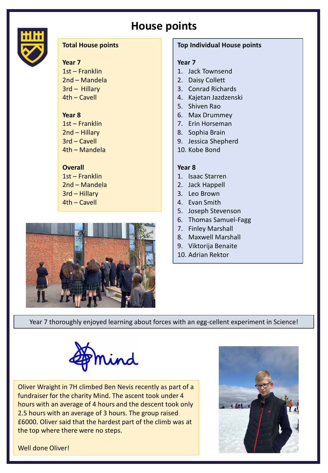# **House points**



# **Total House points**

# **Year 7**

1st – Franklin 2nd – Mandela 3rd – Hillary 4th – Cavell

# **Year 8**

1st – Franklin 2nd – Hillary 3rd – Cavell 4th – Mandela

# **Overall**

1st – Franklin 2nd – Mandela 3rd – Hillary 4th – Cavell



# **Top Individual House points**

### **Year 7**

- 1. Jack Townsend
- 2. Daisy Collett
- 3. Conrad Richards
- 4. Kajetan Jazdzenski
- 5. Shiven Rao
- 6. Max Drummey
- 7. Erin Horseman
- 8. Sophia Brain
- 9. Jessica Shepherd
- 10. Kobe Bond

# **Year 8**

- 1. Isaac Starren
- 2. Jack Happell
- 3. Leo Brown
- 4. Evan Smith
- 5. Joseph Stevenson
- 6. Thomas Samuel-Fagg
- 7. Finley Marshall
- 8. Maxwell Marshall
- 9. Viktorija Benaite
- 10. Adrian Rektor

Year 7 thoroughly enjoyed learning about forces with an egg-cellent experiment in Science!



Oliver Wraight in 7H climbed Ben Nevis recently as part of a fundraiser for the charity Mind. The ascent took under 4 hours with an average of 4 hours and the descent took only 2.5 hours with an average of 3 hours. The group raised £6000. Oliver said that the hardest part of the climb was at the top where there were no steps.



Well done Oliver!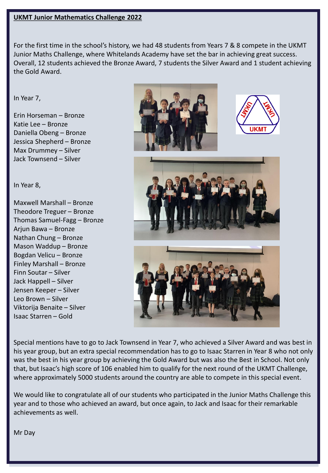# **UKMT Junior Mathematics Challenge 2022**

For the first time in the school's history, we had 48 students from Years 7 & 8 compete in the UKMT Junior Maths Challenge, where Whitelands Academy have set the bar in achieving great success. Overall, 12 students achieved the Bronze Award, 7 students the Silver Award and 1 student achieving the Gold Award.

# In Year 7,

Erin Horseman – Bronze Katie Lee – Bronze Daniella Obeng – Bronze Jessica Shepherd – Bronze Max Drummey – Silver Jack Townsend – Silver

### In Year 8,

Maxwell Marshall – Bronze Theodore Treguer – Bronze Thomas Samuel-Fagg – Bronze Arjun Bawa – Bronze Nathan Chung – Bronze Mason Waddup – Bronze Bogdan Velicu – Bronze Finley Marshall – Bronze Finn Soutar – Silver Jack Happell – Silver Jensen Keeper – Silver Leo Brown – Silver Viktorija Benaite – Silver Isaac Starren – Gold







Special mentions have to go to Jack Townsend in Year 7, who achieved a Silver Award and was best in his year group, but an extra special recommendation has to go to Isaac Starren in Year 8 who not only was the best in his year group by achieving the Gold Award but was also the Best in School. Not only that, but Isaac's high score of 106 enabled him to qualify for the next round of the UKMT Challenge, where approximately 5000 students around the country are able to compete in this special event.

We would like to congratulate all of our students who participated in the Junior Maths Challenge this year and to those who achieved an award, but once again, to Jack and Isaac for their remarkable achievements as well.

Mr Day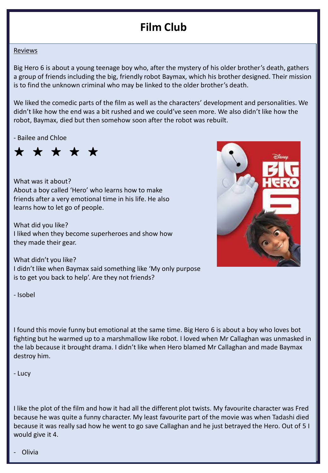# **Film Club**

#### Reviews

Big Hero 6 is about a young teenage boy who, after the mystery of his older brother's death, gathers a group of friends including the big, friendly robot Baymax, which his brother designed. Their mission is to find the unknown criminal who may be linked to the older brother's death.

We liked the comedic parts of the film as well as the characters' development and personalities. We didn't like how the end was a bit rushed and we could've seen more. We also didn't like how the robot, Baymax, died but then somehow soon after the robot was rebuilt.

- Bailee and Chloe

٭ ٭ ٭ ٭ ٭

What was it about? About a boy called 'Hero' who learns how to make friends after a very emotional time in his life. He also learns how to let go of people.

What did you like? I liked when they become superheroes and show how they made their gear.



What didn't you like? I didn't like when Baymax said something like 'My only purpose is to get you back to help'. Are they not friends?

- Isobel

I found this movie funny but emotional at the same time. Big Hero 6 is about a boy who loves bot fighting but he warmed up to a marshmallow like robot. I loved when Mr Callaghan was unmasked in the lab because it brought drama. I didn't like when Hero blamed Mr Callaghan and made Baymax destroy him.

- Lucy

I like the plot of the film and how it had all the different plot twists. My favourite character was Fred because he was quite a funny character. My least favourite part of the movie was when Tadashi died because it was really sad how he went to go save Callaghan and he just betrayed the Hero. Out of 5 I would give it 4.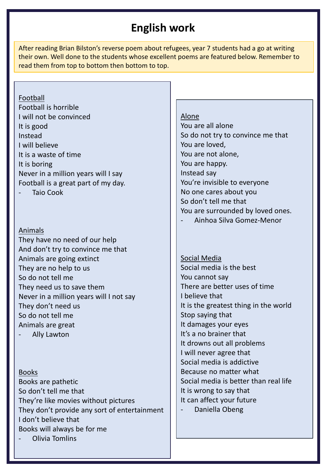# **English work**

After reading Brian Bilston's reverse poem about refugees, year 7 students had a go at writing their own. Well done to the students whose excellent poems are featured below. Remember to read them from top to bottom then bottom to top.

# Football

Football is horrible I will not be convinced It is good Instead I will believe It is a waste of time It is boring Never in a million years will I say Football is a great part of my day. **Taio Cook** 

#### Animals

They have no need of our help And don't try to convince me that Animals are going extinct They are no help to us So do not tell me They need us to save them Never in a million years will I not say They don't need us So do not tell me Animals are great

Ally Lawton

# Books

Books are pathetic So don't tell me that They're like movies without pictures They don't provide any sort of entertainment I don't believe that Books will always be for me - Olivia Tomlins

# Alone

You are all alone So do not try to convince me that You are loved, You are not alone, You are happy. Instead say You're invisible to everyone No one cares about you So don't tell me that You are surrounded by loved ones.

- Ainhoa Silva Gomez-Menor

Social Media Social media is the best You cannot say There are better uses of time I believe that It is the greatest thing in the world Stop saying that It damages your eyes It's a no brainer that It drowns out all problems I will never agree that Social media is addictive Because no matter what Social media is better than real life It is wrong to say that It can affect your future Daniella Obeng